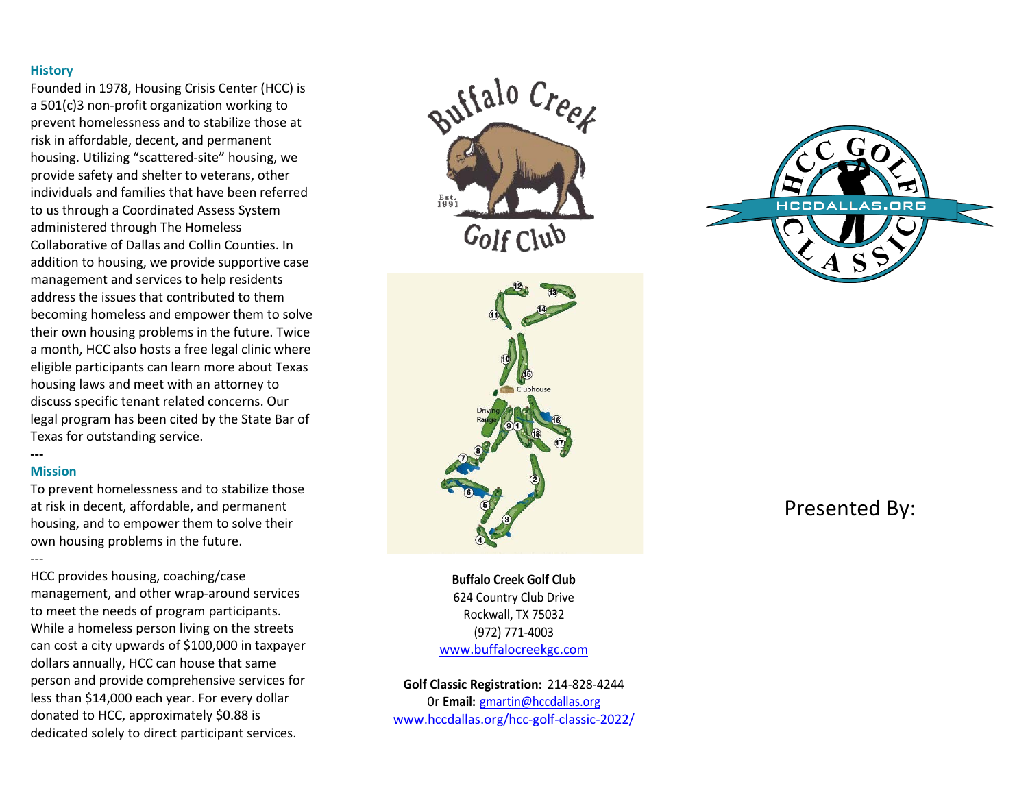#### **History**

Founded in 1978, Housing Crisis Center (HCC) is a 501(c)3 non-profit organization working to prevent homelessness and to stabilize those at risk in affordable, decent, and permanent housing. Utilizing "scattered-site" housing, we provide safety and shelter to veterans, other individuals and families that have been referred to us through a Coordinated Assess System administered through The Homeless Collaborative of Dallas and Collin Counties. In addition to housing, we provide supportive case management and services to help residents address the issues that contributed to them becoming homeless and empower them to solve their own housing problems in the future. Twice a month, HCC also hosts a free legal clinic where eligible participants can learn more about Texas housing laws and meet with an attorney to discuss specific tenant related concerns. Our legal program has been cited by the State Bar of Texas for outstanding service.

# **---**

**Mission** To prevent homelessness and to stabilize those at risk in decent, affordable, and permanent

housing, and to empower them to solve their own housing problems in the future. ---

HCC provides housing, coaching/case management, and other wrap-around services to meet the needs of program participants. While a homeless person living on the streets can cost a city upwards of \$100,000 in taxpayer dollars annually, HCC can house that same person and provide comprehensive services for less than \$14,000 each year. For every dollar donated to HCC, approximately \$0.88 is dedicated solely to direct participant services.





**Buffalo Creek Golf Club** 624 Country Club Drive Rockwall, TX 75032 (972) 771-4003 [www.buffalocreekgc.com](http://www.buffalocreekgc.com/)

**Golf Classic Registration:** 214-828-4244 0r **Email:** [gmartin@hccdallas.org](mailto:gmartin@hccdallas.org) [www.hccdallas.org/hcc-golf-classic-2022/](http://www.hccdallas.org/hcc-golf-classic-2022/)



# Presented By: